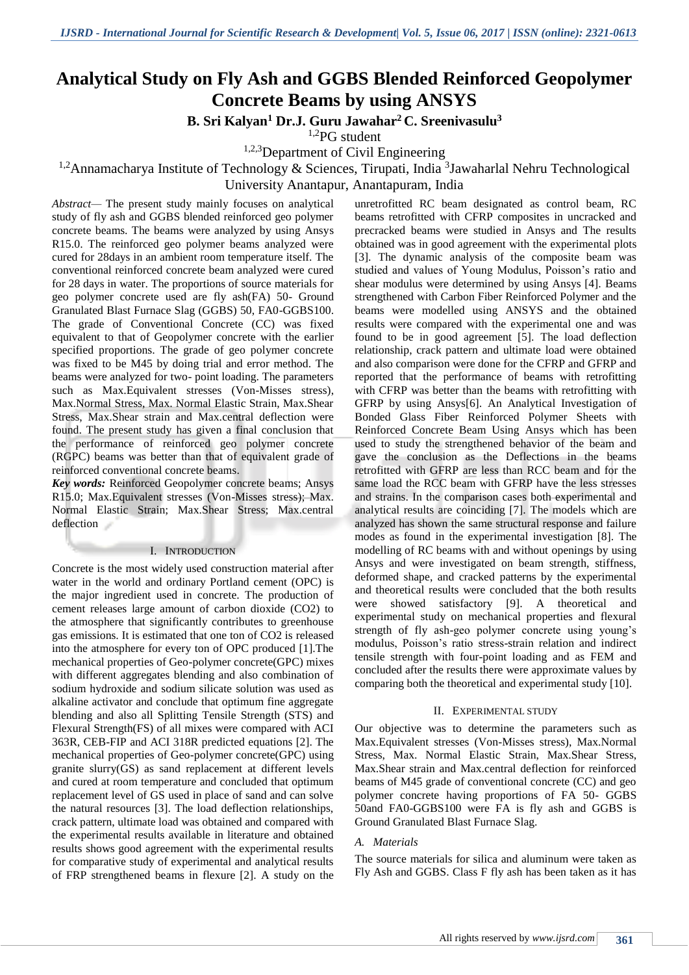# **Analytical Study on Fly Ash and GGBS Blended Reinforced Geopolymer Concrete Beams by using ANSYS**

**B. Sri Kalyan<sup>1</sup> Dr.J. Guru Jawahar<sup>2</sup> C. Sreenivasulu<sup>3</sup>**

1,2PG student

<sup>1,2,3</sup>Department of Civil Engineering

# <sup>1,2</sup>Annamacharya Institute of Technology & Sciences, Tirupati, India  $3$ Jawaharlal Nehru Technological

University Anantapur, Anantapuram, India

*Abstract—* The present study mainly focuses on analytical study of fly ash and GGBS blended reinforced geo polymer concrete beams. The beams were analyzed by using Ansys R15.0. The reinforced geo polymer beams analyzed were cured for 28days in an ambient room temperature itself. The conventional reinforced concrete beam analyzed were cured for 28 days in water. The proportions of source materials for geo polymer concrete used are fly ash(FA) 50- Ground Granulated Blast Furnace Slag (GGBS) 50, FA0-GGBS100. The grade of Conventional Concrete (CC) was fixed equivalent to that of Geopolymer concrete with the earlier specified proportions. The grade of geo polymer concrete was fixed to be M45 by doing trial and error method. The beams were analyzed for two- point loading. The parameters such as Max.Equivalent stresses (Von-Misses stress), Max.Normal Stress, Max. Normal Elastic Strain, Max.Shear Stress, Max.Shear strain and Max.central deflection were found. The present study has given a final conclusion that the performance of reinforced geo polymer concrete (RGPC) beams was better than that of equivalent grade of reinforced conventional concrete beams.

*Key words:* Reinforced Geopolymer concrete beams; Ansys R15.0; Max.Equivalent stresses (Von-Misses stress); Max. Normal Elastic Strain; Max.Shear Stress; Max.central deflection

#### I. INTRODUCTION

Concrete is the most widely used construction material after water in the world and ordinary Portland cement (OPC) is the major ingredient used in concrete. The production of cement releases large amount of carbon dioxide (CO2) to the atmosphere that significantly contributes to greenhouse gas emissions. It is estimated that one ton of CO2 is released into the atmosphere for every ton of OPC produced [1].The mechanical properties of Geo-polymer concrete(GPC) mixes with different aggregates blending and also combination of sodium hydroxide and sodium silicate solution was used as alkaline activator and conclude that optimum fine aggregate blending and also all Splitting Tensile Strength (STS) and Flexural Strength(FS) of all mixes were compared with ACI 363R, CEB-FIP and ACI 318R predicted equations [2]. The mechanical properties of Geo-polymer concrete(GPC) using granite slurry(GS) as sand replacement at different levels and cured at room temperature and concluded that optimum replacement level of GS used in place of sand and can solve the natural resources [3]. The load deflection relationships, crack pattern, ultimate load was obtained and compared with the experimental results available in literature and obtained results shows good agreement with the experimental results for comparative study of experimental and analytical results of FRP strengthened beams in flexure [2]. A study on the

unretrofitted RC beam designated as control beam, RC beams retrofitted with CFRP composites in uncracked and precracked beams were studied in Ansys and The results obtained was in good agreement with the experimental plots [3]. The dynamic analysis of the composite beam was studied and values of Young Modulus, Poisson's ratio and shear modulus were determined by using Ansys [4]. Beams strengthened with Carbon Fiber Reinforced Polymer and the beams were modelled using ANSYS and the obtained results were compared with the experimental one and was found to be in good agreement [5]. The load deflection relationship, crack pattern and ultimate load were obtained and also comparison were done for the CFRP and GFRP and reported that the performance of beams with retrofitting with CFRP was better than the beams with retrofitting with GFRP by using Ansys[6]. An Analytical Investigation of Bonded Glass Fiber Reinforced Polymer Sheets with Reinforced Concrete Beam Using Ansys which has been used to study the strengthened behavior of the beam and gave the conclusion as the Deflections in the beams retrofitted with GFRP are less than RCC beam and for the same load the RCC beam with GFRP have the less stresses and strains. In the comparison cases both experimental and analytical results are coinciding [7]. The models which are analyzed has shown the same structural response and failure modes as found in the experimental investigation [8]. The modelling of RC beams with and without openings by using Ansys and were investigated on beam strength, stiffness, deformed shape, and cracked patterns by the experimental and theoretical results were concluded that the both results were showed satisfactory [9]. A theoretical and experimental study on mechanical properties and flexural strength of fly ash-geo polymer concrete using young's modulus, Poisson's ratio stress-strain relation and indirect tensile strength with four-point loading and as FEM and concluded after the results there were approximate values by comparing both the theoretical and experimental study [10].

#### II. EXPERIMENTAL STUDY

Our objective was to determine the parameters such as Max.Equivalent stresses (Von-Misses stress), Max.Normal Stress, Max. Normal Elastic Strain, Max.Shear Stress, Max.Shear strain and Max.central deflection for reinforced beams of M45 grade of conventional concrete (CC) and geo polymer concrete having proportions of FA 50- GGBS 50and FA0-GGBS100 were FA is fly ash and GGBS is Ground Granulated Blast Furnace Slag.

#### *A. Materials*

The source materials for silica and aluminum were taken as Fly Ash and GGBS. Class F fly ash has been taken as it has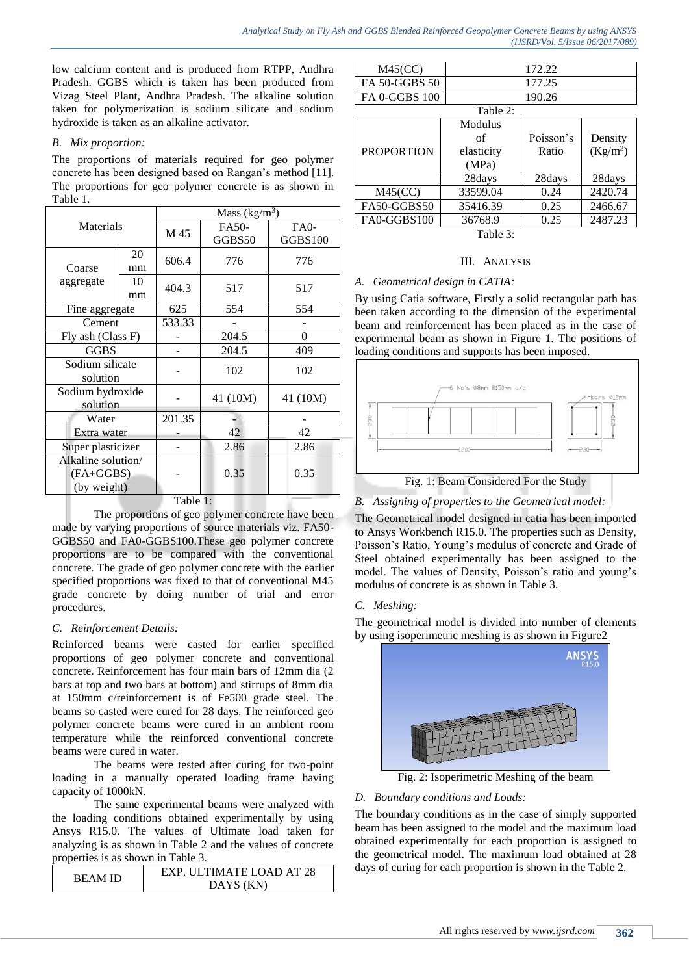low calcium content and is produced from RTPP, Andhra Pradesh. GGBS which is taken has been produced from Vizag Steel Plant, Andhra Pradesh. The alkaline solution taken for polymerization is sodium silicate and sodium hydroxide is taken as an alkaline activator.

#### *B. Mix proportion:*

The proportions of materials required for geo polymer concrete has been designed based on Rangan's method [11]. The proportions for geo polymer concrete is as shown in Table 1.

| Materials          |    | Mass $(kg/m3)$ |          |                |
|--------------------|----|----------------|----------|----------------|
|                    |    | M 45           | FA50-    | $FA0-$         |
|                    |    |                | GGBS50   | <b>GGBS100</b> |
|                    | 20 | 606.4          | 776      | 776            |
| Coarse             | mm |                |          |                |
| aggregate          | 10 | 404.3          | 517      | 517            |
|                    | mm |                |          |                |
| Fine aggregate     |    | 625            | 554      | 554            |
| Cement             |    | 533.33         |          |                |
| Fly ash (Class F)  |    |                | 204.5    | 0              |
| <b>GGBS</b>        |    |                | 204.5    | 409            |
| Sodium silicate    |    |                | 102      | 102            |
| solution           |    |                |          |                |
| Sodium hydroxide   |    |                | 41 (10M) | 41 (10M)       |
| solution           |    |                |          |                |
| Water              |    | 201.35         |          |                |
| Extra water        |    |                | 42       | 42             |
| Super plasticizer  |    |                | 2.86     | 2.86           |
| Alkaline solution/ |    |                |          |                |
| (FA+GGBS)          |    |                | 0.35     | 0.35           |
| (by weight)        |    |                |          |                |
|                    |    |                |          |                |

Table 1:

The proportions of geo polymer concrete have been made by varying proportions of source materials viz. FA50- GGBS50 and FA0-GGBS100.These geo polymer concrete proportions are to be compared with the conventional concrete. The grade of geo polymer concrete with the earlier specified proportions was fixed to that of conventional M45 grade concrete by doing number of trial and error procedures.

# *C. Reinforcement Details:*

Reinforced beams were casted for earlier specified proportions of geo polymer concrete and conventional concrete. Reinforcement has four main bars of 12mm dia (2 bars at top and two bars at bottom) and stirrups of 8mm dia at 150mm c/reinforcement is of Fe500 grade steel. The beams so casted were cured for 28 days. The reinforced geo polymer concrete beams were cured in an ambient room temperature while the reinforced conventional concrete beams were cured in water.

The beams were tested after curing for two-point loading in a manually operated loading frame having capacity of 1000kN.

The same experimental beams were analyzed with the loading conditions obtained experimentally by using Ansys R15.0. The values of Ultimate load taken for analyzing is as shown in Table 2 and the values of concrete properties is as shown in Table 3.

| REAM ID | EXP. ULTIMATE LOAD AT 28 |  |  |
|---------|--------------------------|--|--|
|         | DAYS (KN)                |  |  |

| M45(CC)       | 172.22 |  |  |
|---------------|--------|--|--|
| FA 50-GGBS 50 | 177.25 |  |  |
| FA 0-GGBS 100 | 190.26 |  |  |
| Table 2:      |        |  |  |

| <b>Table</b> 2:              |                                      |                    |                       |
|------------------------------|--------------------------------------|--------------------|-----------------------|
| <b>PROPORTION</b>            | Modulus<br>οf<br>elasticity<br>(MPa) | Poisson's<br>Ratio | Density<br>$(Kg/m^3)$ |
|                              | 28days                               | 28days             | 28days                |
| M45(CC)                      | 33599.04                             | 0.24               | 2420.74               |
| FA50-GGBS50                  | 35416.39                             | 0.25               | 2466.67               |
| FA0-GGBS100                  | 36768.9                              | 0.25               | 2487.23               |
| $T2$ $\lambda$ 1 $\alpha$ 2. |                                      |                    |                       |

Table 3:

#### III. ANALYSIS

#### *A. Geometrical design in CATIA:*

By using Catia software, Firstly a solid rectangular path has been taken according to the dimension of the experimental beam and reinforcement has been placed as in the case of experimental beam as shown in Figure 1. The positions of loading conditions and supports has been imposed.



# *B. Assigning of properties to the Geometrical model:*

The Geometrical model designed in catia has been imported to Ansys Workbench R15.0. The properties such as Density, Poisson's Ratio, Young's modulus of concrete and Grade of Steel obtained experimentally has been assigned to the model. The values of Density, Poisson's ratio and young's modulus of concrete is as shown in Table 3.

# *C. Meshing:*

The geometrical model is divided into number of elements by using isoperimetric meshing is as shown in Figure2



Fig. 2: Isoperimetric Meshing of the beam

# *D. Boundary conditions and Loads:*

The boundary conditions as in the case of simply supported beam has been assigned to the model and the maximum load obtained experimentally for each proportion is assigned to the geometrical model. The maximum load obtained at 28 days of curing for each proportion is shown in the Table 2.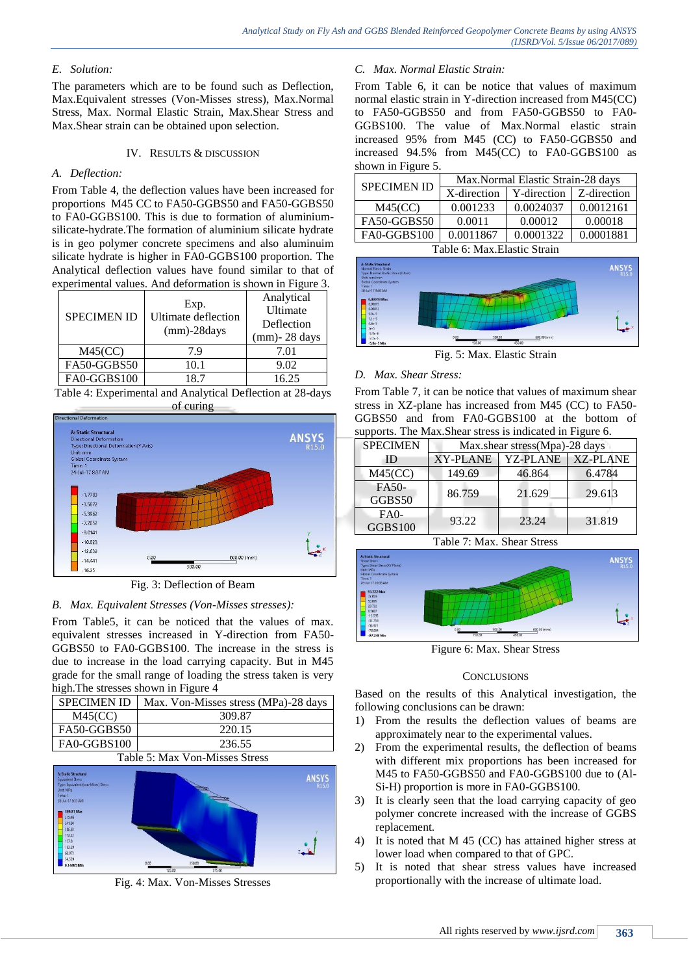# *E. Solution:*

The parameters which are to be found such as Deflection, Max.Equivalent stresses (Von-Misses stress), Max.Normal Stress, Max. Normal Elastic Strain, Max.Shear Stress and Max.Shear strain can be obtained upon selection.

#### IV. RESULTS & DISCUSSION

#### *A. Deflection:*

From Table 4, the deflection values have been increased for proportions M45 CC to FA50-GGBS50 and FA50-GGBS50 to FA0-GGBS100. This is due to formation of aluminiumsilicate-hydrate.The formation of aluminium silicate hydrate is in geo polymer concrete specimens and also aluminuim silicate hydrate is higher in FA0-GGBS100 proportion. The Analytical deflection values have found similar to that of experimental values. And deformation is shown in Figure 3.

| <b>SPECIMEN ID</b> | Exp.<br><b>Ultimate deflection</b><br>$(mm)$ -28 $days$ | Analytical<br>Ultimate<br>Deflection<br>$(mm)$ - 28 days |
|--------------------|---------------------------------------------------------|----------------------------------------------------------|
| M45(CC)            | 7.9                                                     | 7.01                                                     |
| FA50-GGBS50        | 10.1                                                    | 9.02                                                     |
| FA0-GGBS100        | 18.7                                                    | 16.25                                                    |

Table 4: Experimental and Analytical Deflection at 28-days of curing



Fig. 3: Deflection of Beam

# *B. Max. Equivalent Stresses (Von-Misses stresses):*

From Table5, it can be noticed that the values of max. equivalent stresses increased in Y-direction from FA50- GGBS50 to FA0-GGBS100. The increase in the stress is due to increase in the load carrying capacity. But in M45 grade for the small range of loading the stress taken is very high.The stresses shown in Figure 4

| <b>SPECIMEN ID</b>             | Max. Von-Misses stress (MPa)-28 days |  |
|--------------------------------|--------------------------------------|--|
| M45(CC)                        | 309.87                               |  |
| FA50-GGBS50                    | 220.15                               |  |
| FA0-GGBS100                    | 236.55                               |  |
| Table 5: Max Von-Misses Stress |                                      |  |



Fig. 4: Max. Von-Misses Stresses

#### *C. Max. Normal Elastic Strain:*

From Table 6, it can be notice that values of maximum normal elastic strain in Y-direction increased from M45(CC) to FA50-GGBS50 and from FA50-GGBS50 to FA0- GGBS100. The value of Max.Normal elastic strain increased 95% from M45 (CC) to FA50-GGBS50 and increased 94.5% from M45(CC) to FA0-GGBS100 as shown in Figure 5.

| <b>SPECIMEN ID</b>                                        | Max.Normal Elastic Strain-28 days |             |             |
|-----------------------------------------------------------|-----------------------------------|-------------|-------------|
|                                                           | X-direction                       | Y-direction | Z-direction |
| M45(CC)                                                   | 0.001233                          | 0.0024037   | 0.0012161   |
| FA50-GGBS50                                               | 0.0011                            | 0.00012     | 0.00018     |
| FA0-GGBS100                                               | 0.0011867                         | 0.0001322   | 0.0001881   |
| $T_{\alpha}$ kla 6. May $\prod_{\alpha} t_{\alpha}$ Ctual |                                   |             |             |

Table 6: Max.Elastic Strain



Fig. 5: Max. Elastic Strain

#### *D. Max. Shear Stress:*

From Table 7, it can be notice that values of maximum shear stress in XZ-plane has increased from M45 (CC) to FA50- GGBS50 and from FA0-GGBS100 at the bottom of supports. The Max.Shear stress is indicated in Figure 6.

| <b>SPECIMEN</b>      | Max.shear stress(Mpa)-28 days |                 |                 |
|----------------------|-------------------------------|-----------------|-----------------|
| ID                   | <b>XY-PLANE</b>               | <b>YZ-PLANE</b> | <b>XZ-PLANE</b> |
| $M45(\overline{CC})$ | 149.69                        | 46.864          | 6.4784          |
| FA50-                | 86.759                        | 21.629          | 29.613          |
| GGBS50               |                               |                 |                 |
| $FA0-$               | 93.22                         | 23.24           | 31.819          |
| GGBS100              |                               |                 |                 |

Table 7: Max. Shear Stress



#### **CONCLUSIONS**

Based on the results of this Analytical investigation, the following conclusions can be drawn:

- 1) From the results the deflection values of beams are approximately near to the experimental values.
- 2) From the experimental results, the deflection of beams with different mix proportions has been increased for M45 to FA50-GGBS50 and FA0-GGBS100 due to (Al-Si-H) proportion is more in FA0-GGBS100.
- 3) It is clearly seen that the load carrying capacity of geo polymer concrete increased with the increase of GGBS replacement.
- 4) It is noted that M 45 (CC) has attained higher stress at lower load when compared to that of GPC.
- 5) It is noted that shear stress values have increased proportionally with the increase of ultimate load.